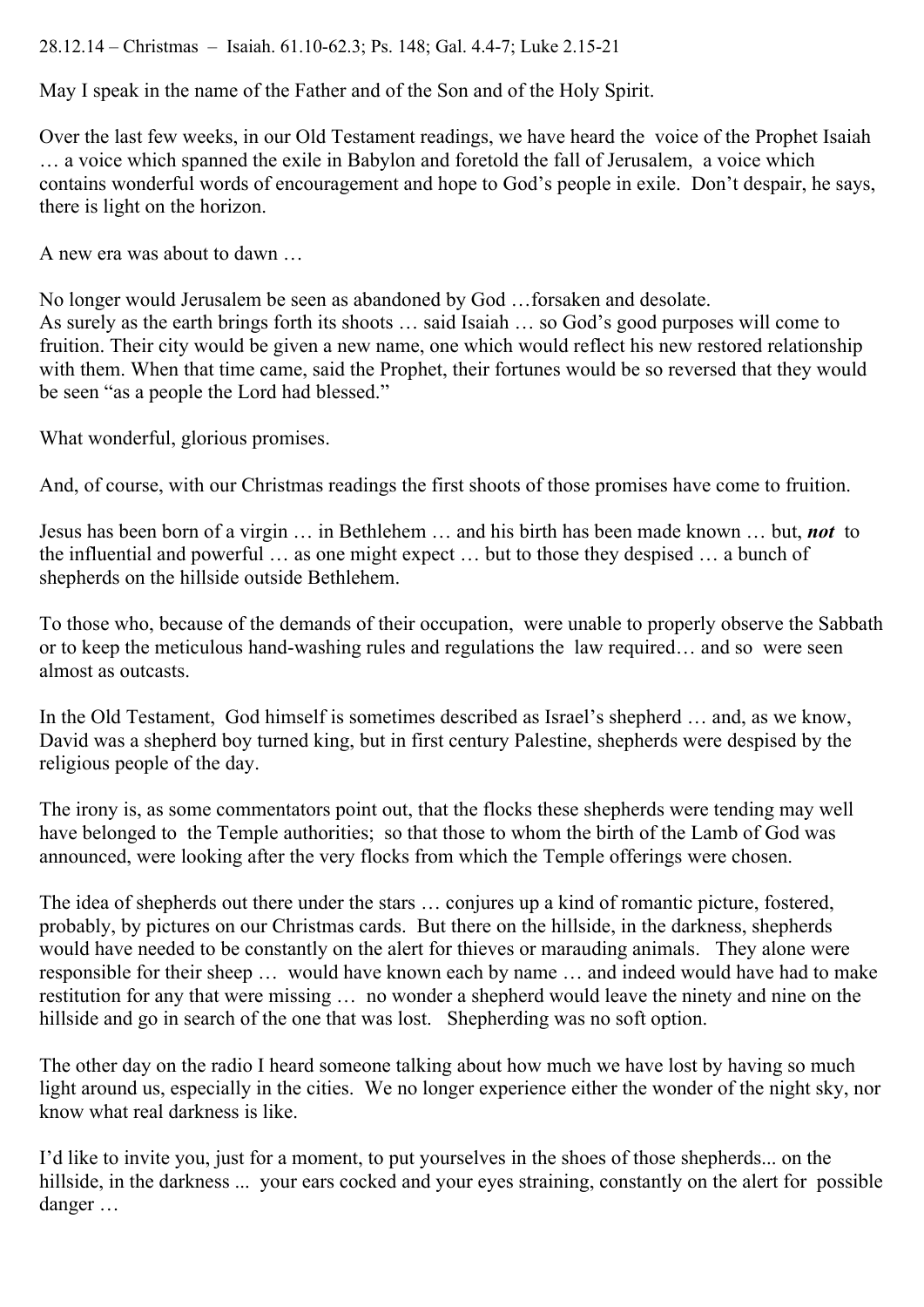## 28.12.14 – Christmas – Isaiah. 61.10-62.3; Ps. 148; Gal. 4.4-7; Luke 2.15-21

May I speak in the name of the Father and of the Son and of the Holy Spirit.

Over the last few weeks, in our Old Testament readings, we have heard the voice of the Prophet Isaiah … a voice which spanned the exile in Babylon and foretold the fall of Jerusalem, a voice which contains wonderful words of encouragement and hope to God's people in exile. Don't despair, he says, there is light on the horizon.

A new era was about to dawn …

No longer would Jerusalem be seen as abandoned by God …forsaken and desolate. As surely as the earth brings forth its shoots … said Isaiah … so God's good purposes will come to fruition. Their city would be given a new name, one which would reflect his new restored relationship with them. When that time came, said the Prophet, their fortunes would be so reversed that they would be seen "as a people the Lord had blessed."

What wonderful, glorious promises.

And, of course, with our Christmas readings the first shoots of those promises have come to fruition.

Jesus has been born of a virgin … in Bethlehem … and his birth has been made known … but, *not* to the influential and powerful … as one might expect … but to those they despised … a bunch of shepherds on the hillside outside Bethlehem.

To those who, because of the demands of their occupation, were unable to properly observe the Sabbath or to keep the meticulous hand-washing rules and regulations the law required… and so were seen almost as outcasts.

In the Old Testament, God himself is sometimes described as Israel's shepherd … and, as we know, David was a shepherd boy turned king, but in first century Palestine, shepherds were despised by the religious people of the day.

The irony is, as some commentators point out, that the flocks these shepherds were tending may well have belonged to the Temple authorities; so that those to whom the birth of the Lamb of God was announced, were looking after the very flocks from which the Temple offerings were chosen.

The idea of shepherds out there under the stars … conjures up a kind of romantic picture, fostered, probably, by pictures on our Christmas cards. But there on the hillside, in the darkness, shepherds would have needed to be constantly on the alert for thieves or marauding animals. They alone were responsible for their sheep … would have known each by name … and indeed would have had to make restitution for any that were missing … no wonder a shepherd would leave the ninety and nine on the hillside and go in search of the one that was lost. Shepherding was no soft option.

The other day on the radio I heard someone talking about how much we have lost by having so much light around us, especially in the cities. We no longer experience either the wonder of the night sky, nor know what real darkness is like.

I'd like to invite you, just for a moment, to put yourselves in the shoes of those shepherds... on the hillside, in the darkness ... your ears cocked and your eyes straining, constantly on the alert for possible danger …